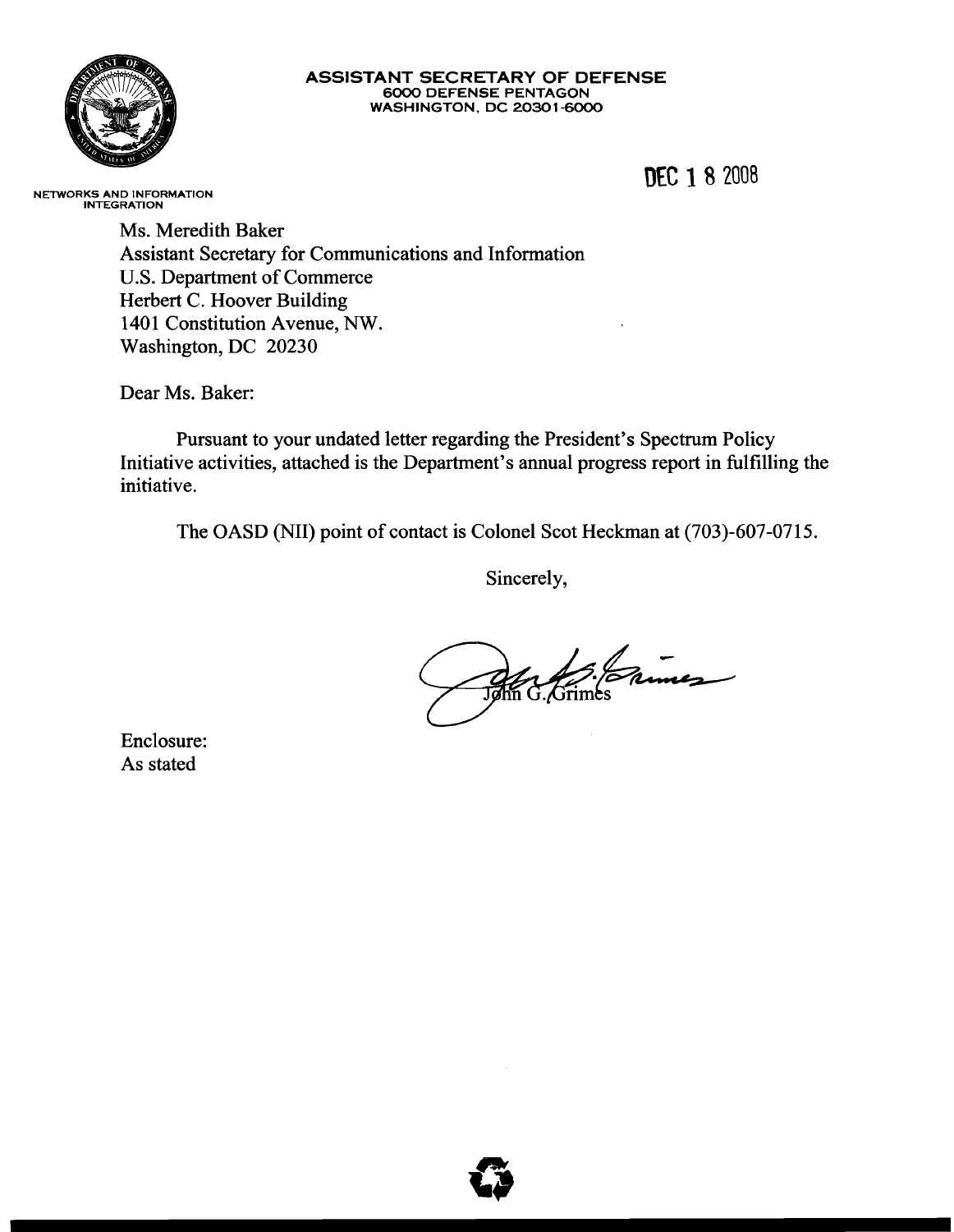

#### **ASSISTANT SECRETARY OF DEFENSE** 6000 DEFENSE PENTAGON WASHINGTON, DC 20301-6000

**O£C** 182008

NETWORKS AND INFORMATION INTEGRATION

Ms. Meredith Baker Assistant Secretary for Communications and Information U.S. Department of Commerce Herbert C. Hoover Building 1401 Constitution Avenue, NW. Washington, DC 20230

Dear Ms. Baker:

Pursuant to your undated letter regarding the President's Spectrum Policy Initiative activities, attached is the Department's annual progress report in fulfilling the initiative.

The OASD (NIl) point of contact is Colonel Scot Heckman at (703)-607-0715.

Sincerely,

Ma Sierres

Enclosure: As stated

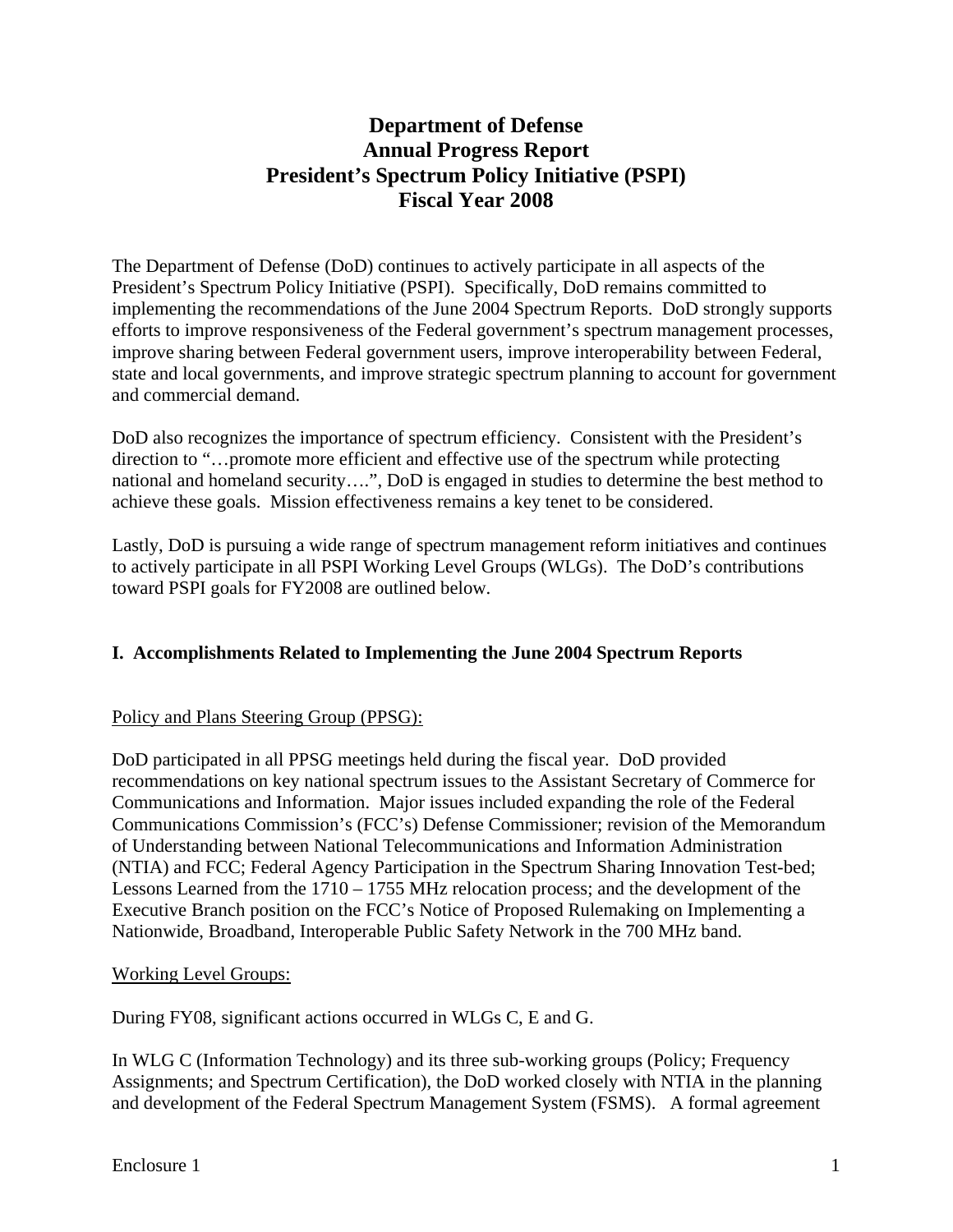# **Department of Defense Annual Progress Report President's Spectrum Policy Initiative (PSPI) Fiscal Year 2008**

The Department of Defense (DoD) continues to actively participate in all aspects of the President's Spectrum Policy Initiative (PSPI). Specifically, DoD remains committed to implementing the recommendations of the June 2004 Spectrum Reports. DoD strongly supports efforts to improve responsiveness of the Federal government's spectrum management processes, improve sharing between Federal government users, improve interoperability between Federal, state and local governments, and improve strategic spectrum planning to account for government and commercial demand.

DoD also recognizes the importance of spectrum efficiency. Consistent with the President's direction to "…promote more efficient and effective use of the spectrum while protecting national and homeland security….", DoD is engaged in studies to determine the best method to achieve these goals. Mission effectiveness remains a key tenet to be considered.

Lastly, DoD is pursuing a wide range of spectrum management reform initiatives and continues to actively participate in all PSPI Working Level Groups (WLGs). The DoD's contributions toward PSPI goals for FY2008 are outlined below.

### **I. Accomplishments Related to Implementing the June 2004 Spectrum Reports**

### Policy and Plans Steering Group (PPSG):

DoD participated in all PPSG meetings held during the fiscal year. DoD provided recommendations on key national spectrum issues to the Assistant Secretary of Commerce for Communications and Information. Major issues included expanding the role of the Federal Communications Commission's (FCC's) Defense Commissioner; revision of the Memorandum of Understanding between National Telecommunications and Information Administration (NTIA) and FCC; Federal Agency Participation in the Spectrum Sharing Innovation Test-bed; Lessons Learned from the 1710 – 1755 MHz relocation process; and the development of the Executive Branch position on the FCC's Notice of Proposed Rulemaking on Implementing a Nationwide, Broadband, Interoperable Public Safety Network in the 700 MHz band.

### Working Level Groups:

During FY08, significant actions occurred in WLGs C, E and G.

In WLG C (Information Technology) and its three sub-working groups (Policy; Frequency Assignments; and Spectrum Certification), the DoD worked closely with NTIA in the planning and development of the Federal Spectrum Management System (FSMS). A formal agreement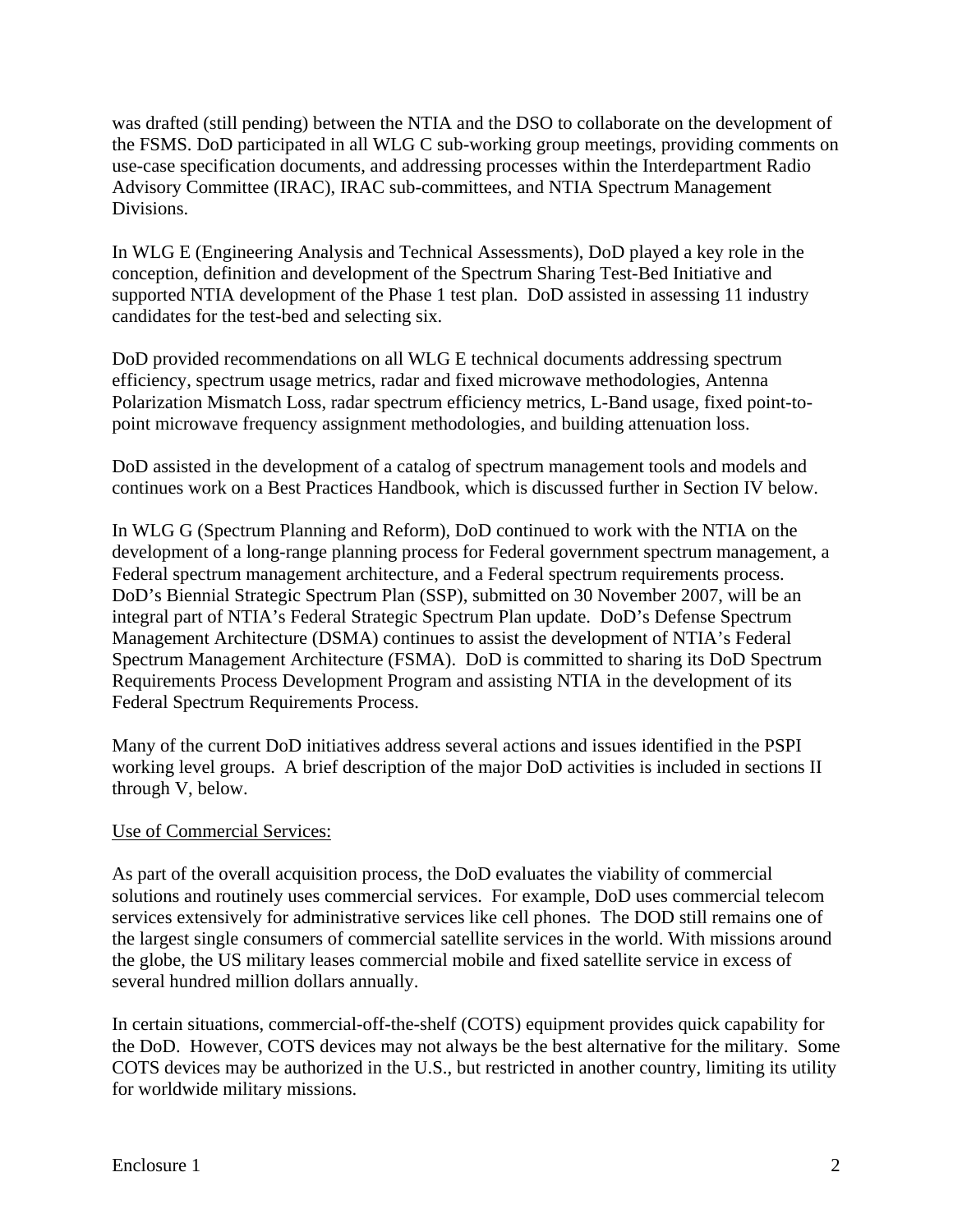was drafted (still pending) between the NTIA and the DSO to collaborate on the development of the FSMS. DoD participated in all WLG C sub-working group meetings, providing comments on use-case specification documents, and addressing processes within the Interdepartment Radio Advisory Committee (IRAC), IRAC sub-committees, and NTIA Spectrum Management Divisions.

In WLG E (Engineering Analysis and Technical Assessments), DoD played a key role in the conception, definition and development of the Spectrum Sharing Test-Bed Initiative and supported NTIA development of the Phase 1 test plan. DoD assisted in assessing 11 industry candidates for the test-bed and selecting six.

DoD provided recommendations on all WLG E technical documents addressing spectrum efficiency, spectrum usage metrics, radar and fixed microwave methodologies, Antenna Polarization Mismatch Loss, radar spectrum efficiency metrics, L-Band usage, fixed point-topoint microwave frequency assignment methodologies, and building attenuation loss.

DoD assisted in the development of a catalog of spectrum management tools and models and continues work on a Best Practices Handbook, which is discussed further in Section IV below.

In WLG G (Spectrum Planning and Reform), DoD continued to work with the NTIA on the development of a long-range planning process for Federal government spectrum management, a Federal spectrum management architecture, and a Federal spectrum requirements process. DoD's Biennial Strategic Spectrum Plan (SSP), submitted on 30 November 2007, will be an integral part of NTIA's Federal Strategic Spectrum Plan update. DoD's Defense Spectrum Management Architecture (DSMA) continues to assist the development of NTIA's Federal Spectrum Management Architecture (FSMA). DoD is committed to sharing its DoD Spectrum Requirements Process Development Program and assisting NTIA in the development of its Federal Spectrum Requirements Process.

Many of the current DoD initiatives address several actions and issues identified in the PSPI working level groups. A brief description of the major DoD activities is included in sections II through V, below.

### Use of Commercial Services:

As part of the overall acquisition process, the DoD evaluates the viability of commercial solutions and routinely uses commercial services. For example, DoD uses commercial telecom services extensively for administrative services like cell phones. The DOD still remains one of the largest single consumers of commercial satellite services in the world. With missions around the globe, the US military leases commercial mobile and fixed satellite service in excess of several hundred million dollars annually.

In certain situations, commercial-off-the-shelf (COTS) equipment provides quick capability for the DoD. However, COTS devices may not always be the best alternative for the military. Some COTS devices may be authorized in the U.S., but restricted in another country, limiting its utility for worldwide military missions.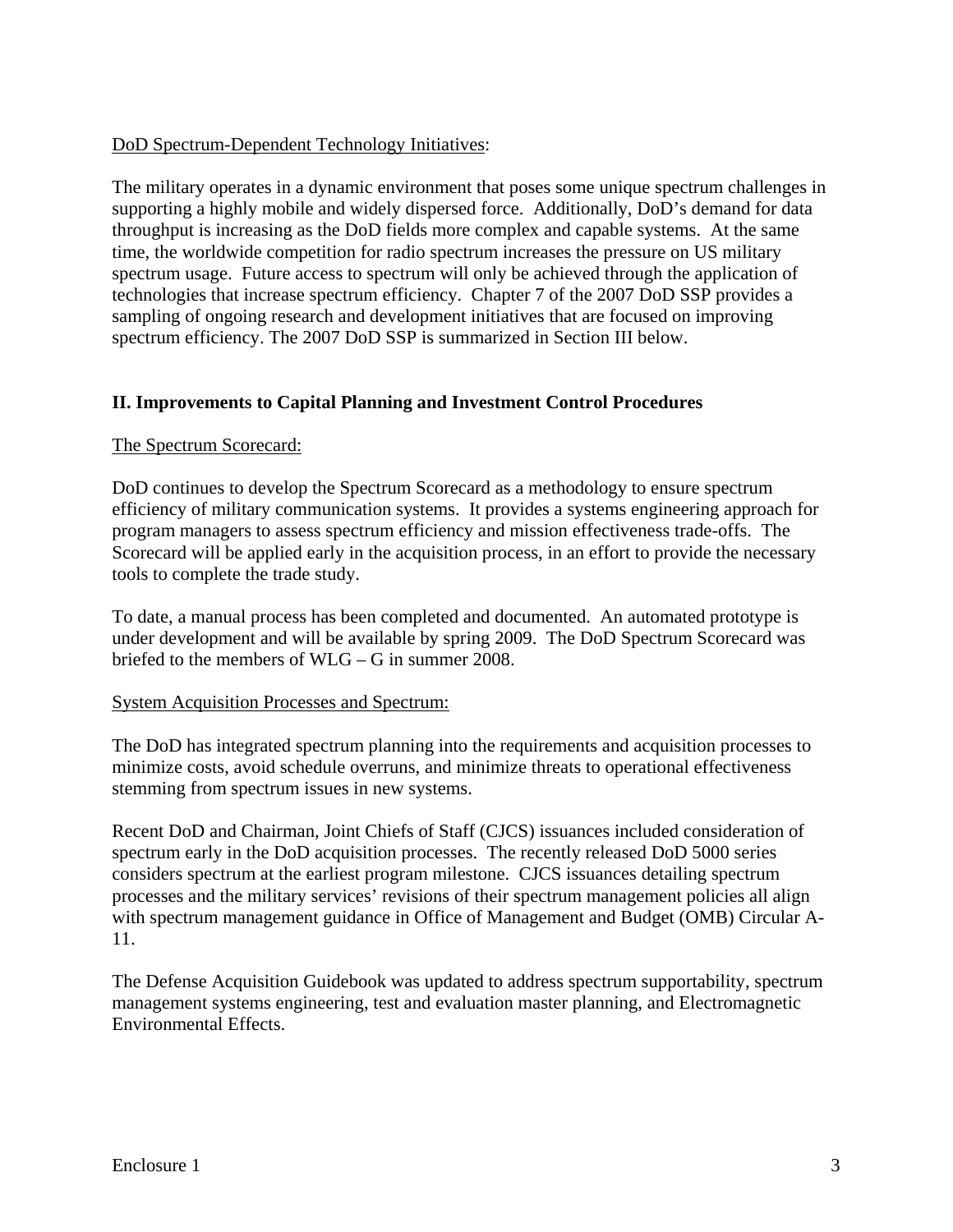#### DoD Spectrum-Dependent Technology Initiatives:

The military operates in a dynamic environment that poses some unique spectrum challenges in supporting a highly mobile and widely dispersed force. Additionally, DoD's demand for data throughput is increasing as the DoD fields more complex and capable systems. At the same time, the worldwide competition for radio spectrum increases the pressure on US military spectrum usage. Future access to spectrum will only be achieved through the application of technologies that increase spectrum efficiency. Chapter 7 of the 2007 DoD SSP provides a sampling of ongoing research and development initiatives that are focused on improving spectrum efficiency. The 2007 DoD SSP is summarized in Section III below.

### **II. Improvements to Capital Planning and Investment Control Procedures**

#### The Spectrum Scorecard:

DoD continues to develop the Spectrum Scorecard as a methodology to ensure spectrum efficiency of military communication systems. It provides a systems engineering approach for program managers to assess spectrum efficiency and mission effectiveness trade-offs. The Scorecard will be applied early in the acquisition process, in an effort to provide the necessary tools to complete the trade study.

To date, a manual process has been completed and documented. An automated prototype is under development and will be available by spring 2009. The DoD Spectrum Scorecard was briefed to the members of WLG – G in summer 2008.

#### System Acquisition Processes and Spectrum:

The DoD has integrated spectrum planning into the requirements and acquisition processes to minimize costs, avoid schedule overruns, and minimize threats to operational effectiveness stemming from spectrum issues in new systems.

Recent DoD and Chairman, Joint Chiefs of Staff (CJCS) issuances included consideration of spectrum early in the DoD acquisition processes. The recently released DoD 5000 series considers spectrum at the earliest program milestone. CJCS issuances detailing spectrum processes and the military services' revisions of their spectrum management policies all align with spectrum management guidance in Office of Management and Budget (OMB) Circular A-11.

The Defense Acquisition Guidebook was updated to address spectrum supportability, spectrum management systems engineering, test and evaluation master planning, and Electromagnetic Environmental Effects.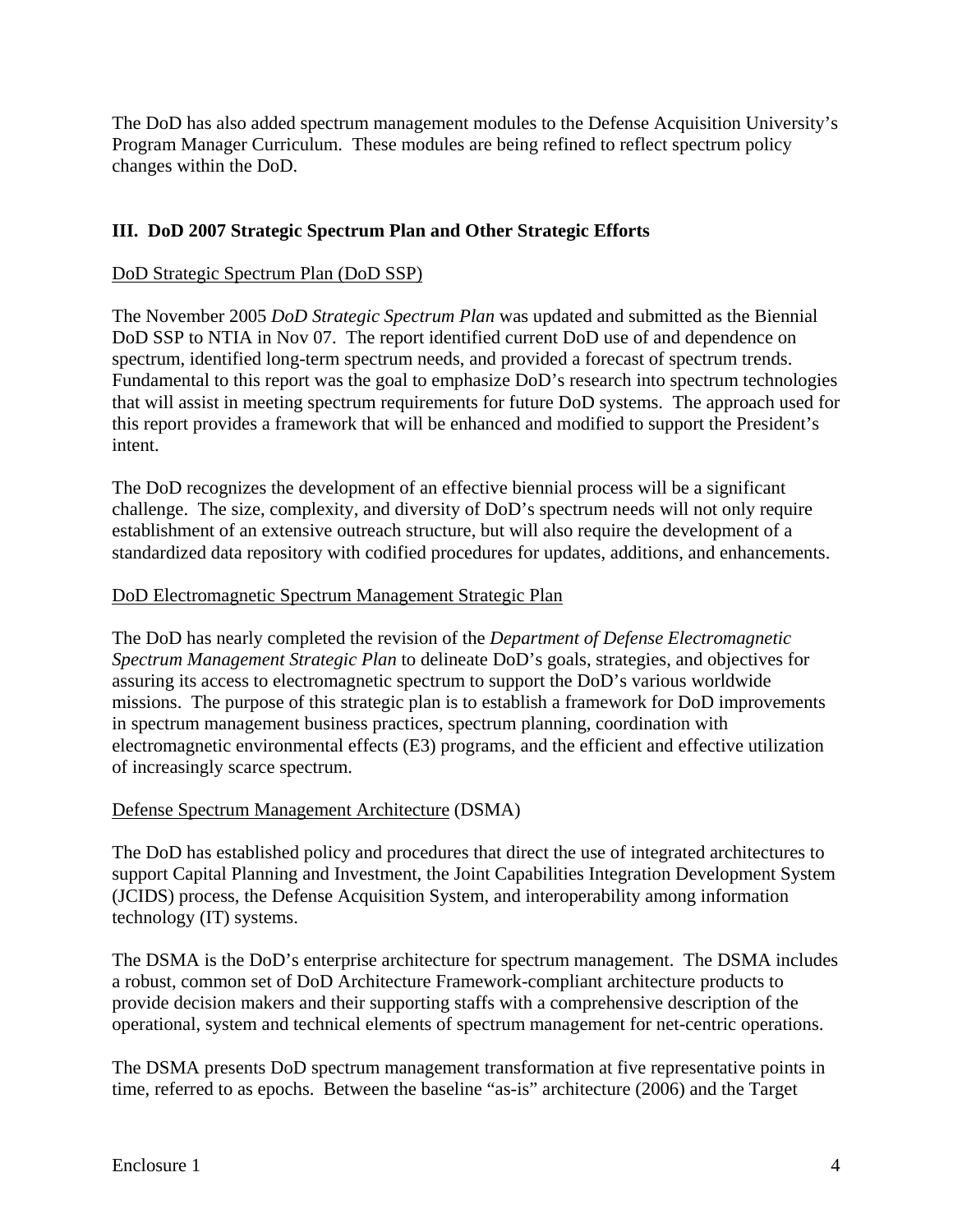The DoD has also added spectrum management modules to the Defense Acquisition University's Program Manager Curriculum. These modules are being refined to reflect spectrum policy changes within the DoD.

## **III. DoD 2007 Strategic Spectrum Plan and Other Strategic Efforts**

#### DoD Strategic Spectrum Plan (DoD SSP)

The November 2005 *DoD Strategic Spectrum Plan* was updated and submitted as the Biennial DoD SSP to NTIA in Nov 07. The report identified current DoD use of and dependence on spectrum, identified long-term spectrum needs, and provided a forecast of spectrum trends. Fundamental to this report was the goal to emphasize DoD's research into spectrum technologies that will assist in meeting spectrum requirements for future DoD systems. The approach used for this report provides a framework that will be enhanced and modified to support the President's intent.

The DoD recognizes the development of an effective biennial process will be a significant challenge. The size, complexity, and diversity of DoD's spectrum needs will not only require establishment of an extensive outreach structure, but will also require the development of a standardized data repository with codified procedures for updates, additions, and enhancements.

#### DoD Electromagnetic Spectrum Management Strategic Plan

The DoD has nearly completed the revision of the *Department of Defense Electromagnetic Spectrum Management Strategic Plan* to delineate DoD's goals, strategies, and objectives for assuring its access to electromagnetic spectrum to support the DoD's various worldwide missions. The purpose of this strategic plan is to establish a framework for DoD improvements in spectrum management business practices, spectrum planning, coordination with electromagnetic environmental effects (E3) programs, and the efficient and effective utilization of increasingly scarce spectrum.

#### Defense Spectrum Management Architecture (DSMA)

The DoD has established policy and procedures that direct the use of integrated architectures to support Capital Planning and Investment, the Joint Capabilities Integration Development System (JCIDS) process, the Defense Acquisition System, and interoperability among information technology (IT) systems.

The DSMA is the DoD's enterprise architecture for spectrum management. The DSMA includes a robust, common set of DoD Architecture Framework-compliant architecture products to provide decision makers and their supporting staffs with a comprehensive description of the operational, system and technical elements of spectrum management for net-centric operations.

The DSMA presents DoD spectrum management transformation at five representative points in time, referred to as epochs. Between the baseline "as-is" architecture (2006) and the Target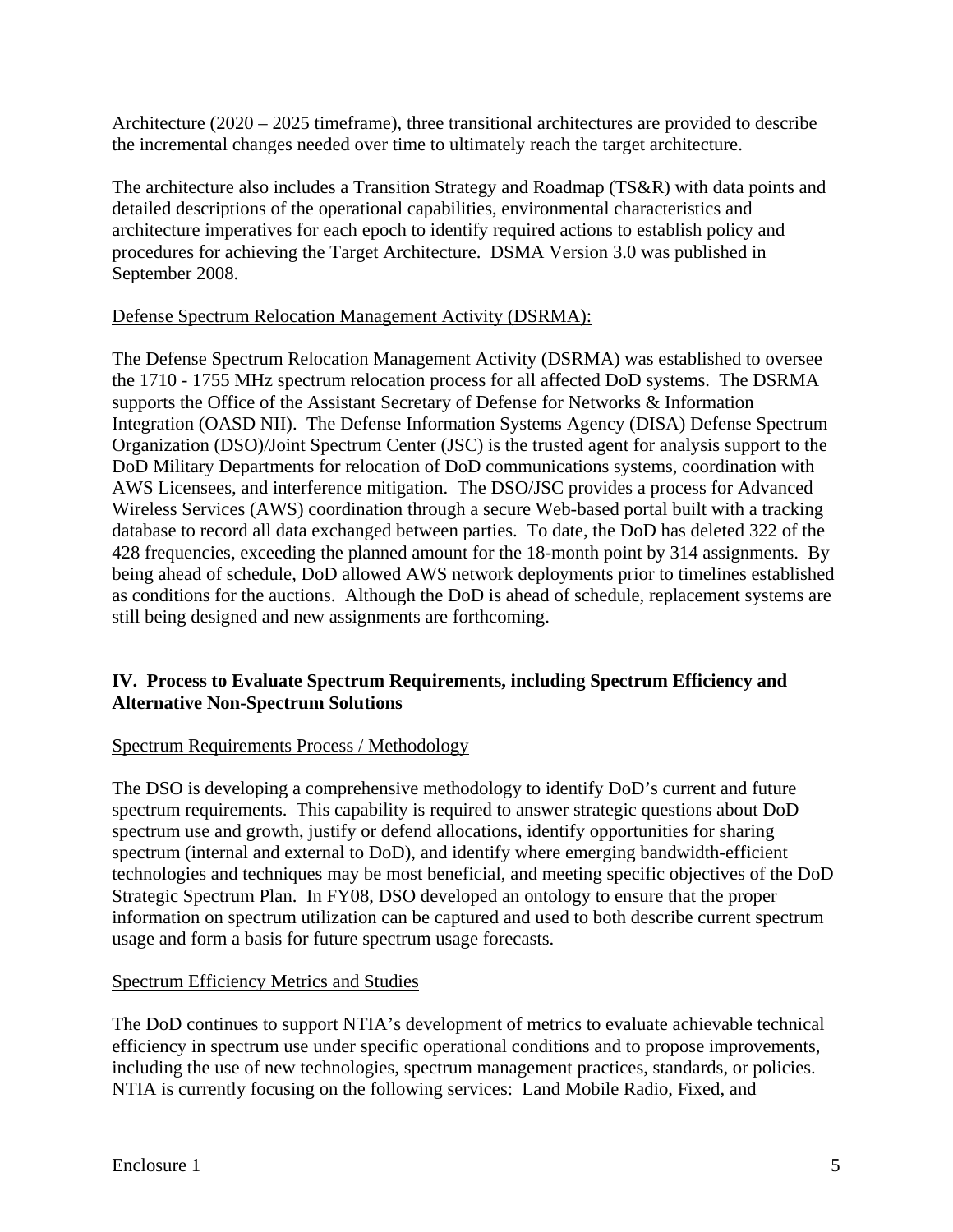Architecture (2020 – 2025 timeframe), three transitional architectures are provided to describe the incremental changes needed over time to ultimately reach the target architecture.

The architecture also includes a Transition Strategy and Roadmap (TS&R) with data points and detailed descriptions of the operational capabilities, environmental characteristics and architecture imperatives for each epoch to identify required actions to establish policy and procedures for achieving the Target Architecture. DSMA Version 3.0 was published in September 2008.

#### Defense Spectrum Relocation Management Activity (DSRMA):

The Defense Spectrum Relocation Management Activity (DSRMA) was established to oversee the 1710 - 1755 MHz spectrum relocation process for all affected DoD systems. The DSRMA supports the Office of the Assistant Secretary of Defense for Networks & Information Integration (OASD NII). The Defense Information Systems Agency (DISA) Defense Spectrum Organization (DSO)/Joint Spectrum Center (JSC) is the trusted agent for analysis support to the DoD Military Departments for relocation of DoD communications systems, coordination with AWS Licensees, and interference mitigation. The DSO/JSC provides a process for Advanced Wireless Services (AWS) coordination through a secure Web-based portal built with a tracking database to record all data exchanged between parties. To date, the DoD has deleted 322 of the 428 frequencies, exceeding the planned amount for the 18-month point by 314 assignments. By being ahead of schedule, DoD allowed AWS network deployments prior to timelines established as conditions for the auctions. Although the DoD is ahead of schedule, replacement systems are still being designed and new assignments are forthcoming.

### **IV. Process to Evaluate Spectrum Requirements, including Spectrum Efficiency and Alternative Non-Spectrum Solutions**

#### Spectrum Requirements Process / Methodology

The DSO is developing a comprehensive methodology to identify DoD's current and future spectrum requirements. This capability is required to answer strategic questions about DoD spectrum use and growth, justify or defend allocations, identify opportunities for sharing spectrum (internal and external to DoD), and identify where emerging bandwidth-efficient technologies and techniques may be most beneficial, and meeting specific objectives of the DoD Strategic Spectrum Plan. In FY08, DSO developed an ontology to ensure that the proper information on spectrum utilization can be captured and used to both describe current spectrum usage and form a basis for future spectrum usage forecasts.

#### Spectrum Efficiency Metrics and Studies

The DoD continues to support NTIA's development of metrics to evaluate achievable technical efficiency in spectrum use under specific operational conditions and to propose improvements, including the use of new technologies, spectrum management practices, standards, or policies. NTIA is currently focusing on the following services: Land Mobile Radio, Fixed, and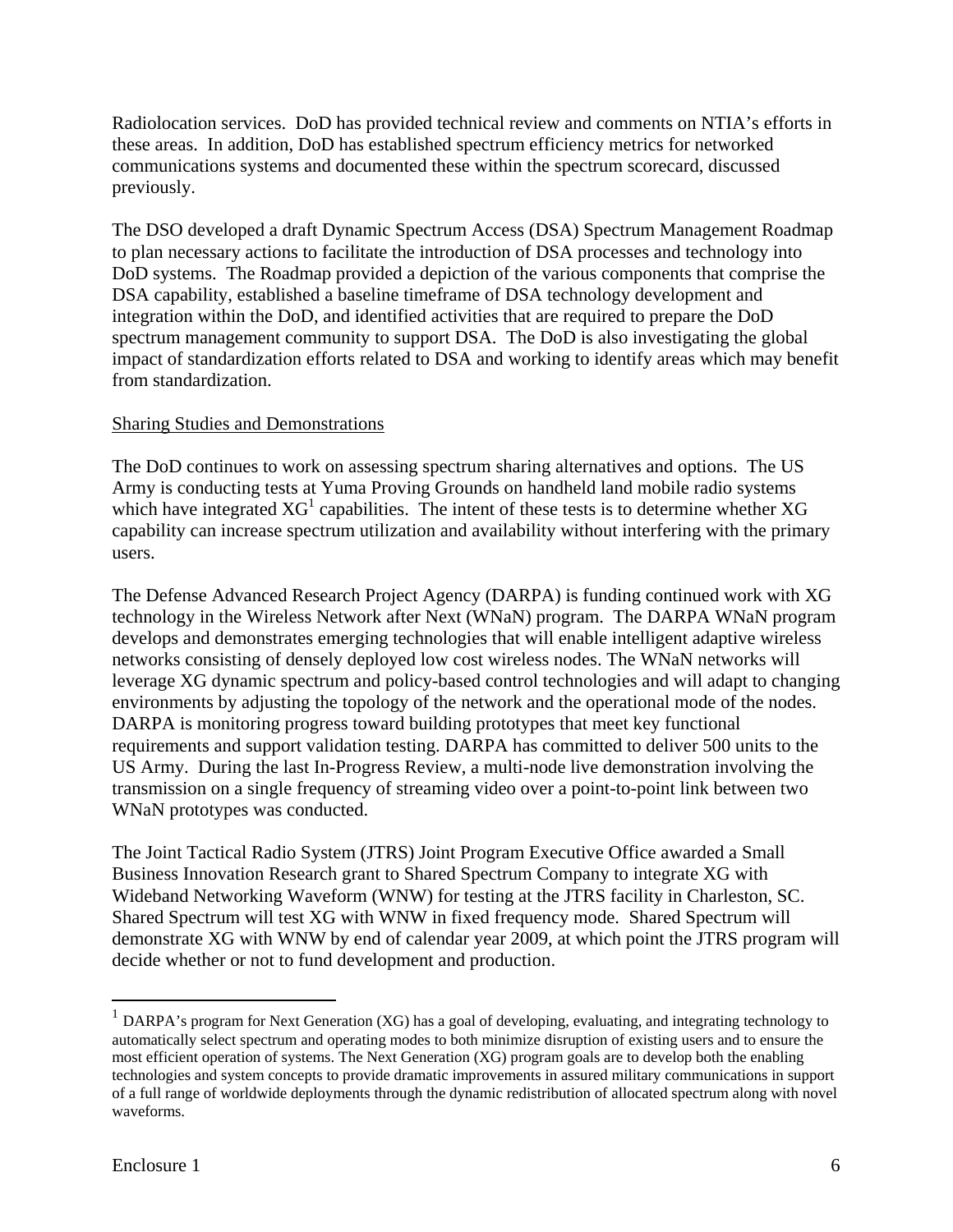Radiolocation services. DoD has provided technical review and comments on NTIA's efforts in these areas. In addition, DoD has established spectrum efficiency metrics for networked communications systems and documented these within the spectrum scorecard, discussed previously.

The DSO developed a draft Dynamic Spectrum Access (DSA) Spectrum Management Roadmap to plan necessary actions to facilitate the introduction of DSA processes and technology into DoD systems. The Roadmap provided a depiction of the various components that comprise the DSA capability, established a baseline timeframe of DSA technology development and integration within the DoD, and identified activities that are required to prepare the DoD spectrum management community to support DSA. The DoD is also investigating the global impact of standardization efforts related to DSA and working to identify areas which may benefit from standardization.

#### Sharing Studies and Demonstrations

The DoD continues to work on assessing spectrum sharing alternatives and options. The US Army is conducting tests at Yuma Proving Grounds on handheld land mobile radio systems which have integrated  $XG<sup>1</sup>$  capabilities. The intent of these tests is to determine whether  $XG$ capability can increase spectrum utilization and availability without interfering with the primary users.

The Defense Advanced Research Project Agency (DARPA) is funding continued work with XG technology in the Wireless Network after Next (WNaN) program. The DARPA WNaN program develops and demonstrates emerging technologies that will enable intelligent adaptive wireless networks consisting of densely deployed low cost wireless nodes. The WNaN networks will leverage XG dynamic spectrum and policy-based control technologies and will adapt to changing environments by adjusting the topology of the network and the operational mode of the nodes. DARPA is monitoring progress toward building prototypes that meet key functional requirements and support validation testing. DARPA has committed to deliver 500 units to the US Army. During the last In-Progress Review, a multi-node live demonstration involving the transmission on a single frequency of streaming video over a point-to-point link between two WNaN prototypes was conducted.

The Joint Tactical Radio System (JTRS) Joint Program Executive Office awarded a Small Business Innovation Research grant to Shared Spectrum Company to integrate XG with Wideband Networking Waveform (WNW) for testing at the JTRS facility in Charleston, SC. Shared Spectrum will test XG with WNW in fixed frequency mode. Shared Spectrum will demonstrate XG with WNW by end of calendar year 2009, at which point the JTRS program will decide whether or not to fund development and production.

 $\overline{a}$ 

<sup>&</sup>lt;sup>1</sup> DARPA's program for Next Generation (XG) has a goal of developing, evaluating, and integrating technology to automatically select spectrum and operating modes to both minimize disruption of existing users and to ensure the most efficient operation of systems. The Next Generation (XG) program goals are to develop both the enabling technologies and system concepts to provide dramatic improvements in assured military communications in support of a full range of worldwide deployments through the dynamic redistribution of allocated spectrum along with novel waveforms.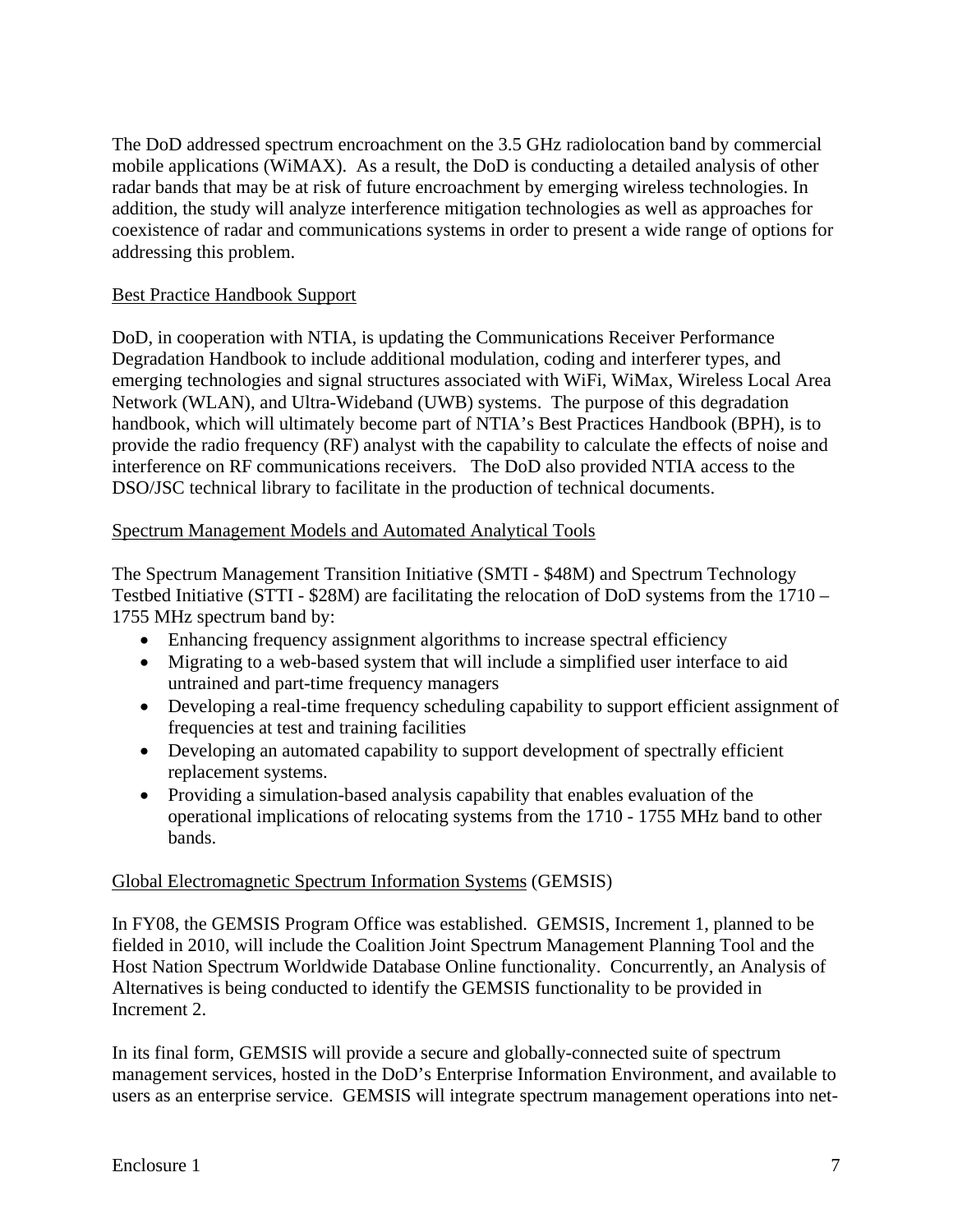The DoD addressed spectrum encroachment on the 3.5 GHz radiolocation band by commercial mobile applications (WiMAX). As a result, the DoD is conducting a detailed analysis of other radar bands that may be at risk of future encroachment by emerging wireless technologies. In addition, the study will analyze interference mitigation technologies as well as approaches for coexistence of radar and communications systems in order to present a wide range of options for addressing this problem.

#### Best Practice Handbook Support

DoD, in cooperation with NTIA, is updating the Communications Receiver Performance Degradation Handbook to include additional modulation, coding and interferer types, and emerging technologies and signal structures associated with WiFi, WiMax, Wireless Local Area Network (WLAN), and Ultra-Wideband (UWB) systems. The purpose of this degradation handbook, which will ultimately become part of NTIA's Best Practices Handbook (BPH), is to provide the radio frequency (RF) analyst with the capability to calculate the effects of noise and interference on RF communications receivers. The DoD also provided NTIA access to the DSO/JSC technical library to facilitate in the production of technical documents.

#### Spectrum Management Models and Automated Analytical Tools

The Spectrum Management Transition Initiative (SMTI - \$48M) and Spectrum Technology Testbed Initiative (STTI - \$28M) are facilitating the relocation of DoD systems from the 1710 – 1755 MHz spectrum band by:

- Enhancing frequency assignment algorithms to increase spectral efficiency
- Migrating to a web-based system that will include a simplified user interface to aid untrained and part-time frequency managers
- Developing a real-time frequency scheduling capability to support efficient assignment of frequencies at test and training facilities
- Developing an automated capability to support development of spectrally efficient replacement systems.
- Providing a simulation-based analysis capability that enables evaluation of the operational implications of relocating systems from the 1710 - 1755 MHz band to other bands.

#### Global Electromagnetic Spectrum Information Systems (GEMSIS)

In FY08, the GEMSIS Program Office was established. GEMSIS, Increment 1, planned to be fielded in 2010, will include the Coalition Joint Spectrum Management Planning Tool and the Host Nation Spectrum Worldwide Database Online functionality. Concurrently, an Analysis of Alternatives is being conducted to identify the GEMSIS functionality to be provided in Increment 2.

In its final form, GEMSIS will provide a secure and globally-connected suite of spectrum management services, hosted in the DoD's Enterprise Information Environment, and available to users as an enterprise service. GEMSIS will integrate spectrum management operations into net